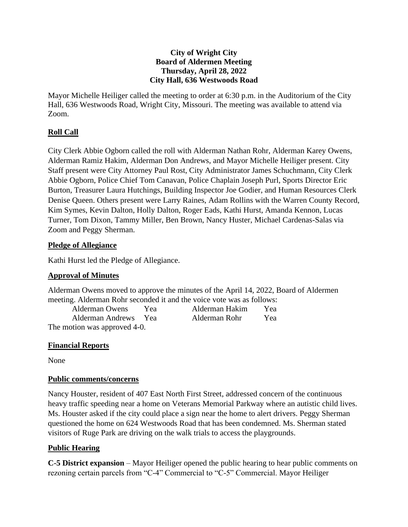### **City of Wright City Board of Aldermen Meeting Thursday, April 28, 2022 City Hall, 636 Westwoods Road**

Mayor Michelle Heiliger called the meeting to order at 6:30 p.m. in the Auditorium of the City Hall, 636 Westwoods Road, Wright City, Missouri. The meeting was available to attend via Zoom.

# **Roll Call**

City Clerk Abbie Ogborn called the roll with Alderman Nathan Rohr, Alderman Karey Owens, Alderman Ramiz Hakim, Alderman Don Andrews, and Mayor Michelle Heiliger present. City Staff present were City Attorney Paul Rost, City Administrator James Schuchmann, City Clerk Abbie Ogborn, Police Chief Tom Canavan, Police Chaplain Joseph Purl, Sports Director Eric Burton, Treasurer Laura Hutchings, Building Inspector Joe Godier, and Human Resources Clerk Denise Queen. Others present were Larry Raines, Adam Rollins with the Warren County Record, Kim Symes, Kevin Dalton, Holly Dalton, Roger Eads, Kathi Hurst, Amanda Kennon, Lucas Turner, Tom Dixon, Tammy Miller, Ben Brown, Nancy Huster, Michael Cardenas-Salas via Zoom and Peggy Sherman.

### **Pledge of Allegiance**

Kathi Hurst led the Pledge of Allegiance.

## **Approval of Minutes**

Alderman Owens moved to approve the minutes of the April 14, 2022, Board of Aldermen meeting. Alderman Rohr seconded it and the voice vote was as follows:

| <b>Alderman Owens</b>        | Yea | Alderman Hakim | Yea |
|------------------------------|-----|----------------|-----|
| Alderman Andrews Yea         |     | Alderman Rohr  | Yea |
| The motion was approved 4-0. |     |                |     |

## **Financial Reports**

None

## **Public comments/concerns**

Nancy Houster, resident of 407 East North First Street, addressed concern of the continuous heavy traffic speeding near a home on Veterans Memorial Parkway where an autistic child lives. Ms. Houster asked if the city could place a sign near the home to alert drivers. Peggy Sherman questioned the home on 624 Westwoods Road that has been condemned. Ms. Sherman stated visitors of Ruge Park are driving on the walk trials to access the playgrounds.

# **Public Hearing**

**C-5 District expansion** – Mayor Heiliger opened the public hearing to hear public comments on rezoning certain parcels from "C-4" Commercial to "C-5" Commercial. Mayor Heiliger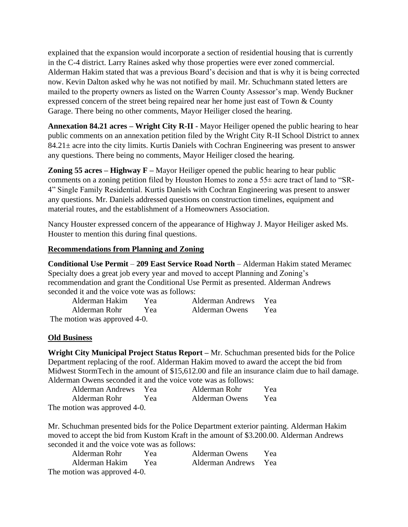explained that the expansion would incorporate a section of residential housing that is currently in the C-4 district. Larry Raines asked why those properties were ever zoned commercial. Alderman Hakim stated that was a previous Board's decision and that is why it is being corrected now. Kevin Dalton asked why he was not notified by mail. Mr. Schuchmann stated letters are mailed to the property owners as listed on the Warren County Assessor's map. Wendy Buckner expressed concern of the street being repaired near her home just east of Town & County Garage. There being no other comments, Mayor Heiliger closed the hearing.

**Annexation 84.21 acres – Wright City R-II** - Mayor Heiliger opened the public hearing to hear public comments on an annexation petition filed by the Wright City R-II School District to annex 84.21± acre into the city limits. Kurtis Daniels with Cochran Engineering was present to answer any questions. There being no comments, Mayor Heiliger closed the hearing.

**Zoning 55 acres – Highway F –** Mayor Heiliger opened the public hearing to hear public comments on a zoning petition filed by Houston Homes to zone a 55± acre tract of land to "SR-4" Single Family Residential. Kurtis Daniels with Cochran Engineering was present to answer any questions. Mr. Daniels addressed questions on construction timelines, equipment and material routes, and the establishment of a Homeowners Association.

Nancy Houster expressed concern of the appearance of Highway J. Mayor Heiliger asked Ms. Houster to mention this during final questions.

### **Recommendations from Planning and Zoning**

**Conditional Use Permit** – **209 East Service Road North** – Alderman Hakim stated Meramec Specialty does a great job every year and moved to accept Planning and Zoning's recommendation and grant the Conditional Use Permit as presented. Alderman Andrews seconded it and the voice vote was as follows:

| Alderman Hakim               | Yea | Alderman Andrews Yea |     |
|------------------------------|-----|----------------------|-----|
| Alderman Rohr Yea            |     | Alderman Owens       | Yea |
| The motion was approved 4-0. |     |                      |     |

#### **Old Business**

**Wright City Municipal Project Status Report –** Mr. Schuchman presented bids for the Police Department replacing of the roof. Alderman Hakim moved to award the accept the bid from Midwest StormTech in the amount of \$15,612.00 and file an insurance claim due to hail damage. Alderman Owens seconded it and the voice vote was as follows:

| <b>Alderman Andrews</b>      | - Yea | Alderman Rohr  | Yea |
|------------------------------|-------|----------------|-----|
| Alderman Rohr                | Yea   | Alderman Owens | Yea |
| The motion was approved 4-0. |       |                |     |

Mr. Schuchman presented bids for the Police Department exterior painting. Alderman Hakim moved to accept the bid from Kustom Kraft in the amount of \$3.200.00. Alderman Andrews seconded it and the voice vote was as follows:

| Alderman Rohr                | Yea | <b>Alderman Owens</b> | Yea |
|------------------------------|-----|-----------------------|-----|
| Alderman Hakim               | Yea | Alderman Andrews Yea  |     |
| The motion was approved 4-0. |     |                       |     |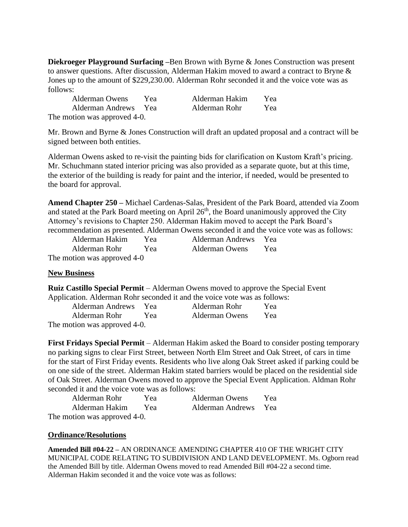**Diekroeger Playground Surfacing –**Ben Brown with Byrne & Jones Construction was present to answer questions. After discussion, Alderman Hakim moved to award a contract to Bryne & Jones up to the amount of \$229,230.00. Alderman Rohr seconded it and the voice vote was as follows:

| Alderman Owens               | Yea | Alderman Hakim | Yea |
|------------------------------|-----|----------------|-----|
| Alderman Andrews Yea         |     | Alderman Rohr  | Yea |
| The motion was approved 4-0. |     |                |     |

Mr. Brown and Byrne & Jones Construction will draft an updated proposal and a contract will be signed between both entities.

Alderman Owens asked to re-visit the painting bids for clarification on Kustom Kraft's pricing. Mr. Schuchmann stated interior pricing was also provided as a separate quote, but at this time, the exterior of the building is ready for paint and the interior, if needed, would be presented to the board for approval.

**Amend Chapter 250 –** Michael Cardenas-Salas, President of the Park Board, attended via Zoom and stated at the Park Board meeting on April  $26<sup>th</sup>$ , the Board unanimously approved the City Attorney's revisions to Chapter 250. Alderman Hakim moved to accept the Park Board's recommendation as presented. Alderman Owens seconded it and the voice vote was as follows:

| Alderman Hakim              | Yea | <b>Alderman Andrews</b> | <b>Yea</b> |  |
|-----------------------------|-----|-------------------------|------------|--|
| Alderman Rohr               | Yea | <b>Alderman Owens</b>   | Yea        |  |
| The motion was approved 4-0 |     |                         |            |  |

#### **New Business**

**Ruiz Castillo Special Permit** – Alderman Owens moved to approve the Special Event Application. Alderman Rohr seconded it and the voice vote was as follows:

|                              | <b>Alderman Andrews</b> | <b>Yea</b> | Alderman Rohr  | Yea |
|------------------------------|-------------------------|------------|----------------|-----|
|                              | Alderman Rohr           | Yea        | Alderman Owens | Yea |
| The motion was approved 4-0. |                         |            |                |     |

**First Fridays Special Permit** – Alderman Hakim asked the Board to consider posting temporary no parking signs to clear First Street, between North Elm Street and Oak Street, of cars in time for the start of First Friday events. Residents who live along Oak Street asked if parking could be on one side of the street. Alderman Hakim stated barriers would be placed on the residential side of Oak Street. Alderman Owens moved to approve the Special Event Application. Aldman Rohr seconded it and the voice vote was as follows:

| Alderman Rohr                | Yea | Alderman Owens       | Yea |
|------------------------------|-----|----------------------|-----|
| Alderman Hakim               | Yea | Alderman Andrews Yea |     |
| The motion was approved 4-0. |     |                      |     |

#### **Ordinance/Resolutions**

**Amended Bill #04-22 –** AN ORDINANCE AMENDING CHAPTER 410 OF THE WRIGHT CITY MUNICIPAL CODE RELATING TO SUBDIVISION AND LAND DEVELOPMENT. Ms. Ogborn read the Amended Bill by title. Alderman Owens moved to read Amended Bill #04-22 a second time. Alderman Hakim seconded it and the voice vote was as follows: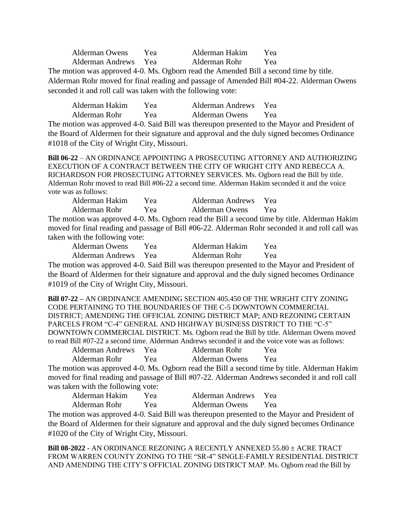Alderman Owens Yea Alderman Hakim Yea Alderman Andrews Yea Alderman Rohr Yea The motion was approved 4-0. Ms. Ogborn read the Amended Bill a second time by title. Alderman Rohr moved for final reading and passage of Amended Bill #04-22. Alderman Owens seconded it and roll call was taken with the following vote:

Alderman Hakim Yea Alderman Andrews Yea Alderman Rohr Yea Alderman Owens Yea The motion was approved 4-0. Said Bill was thereupon presented to the Mayor and President of the Board of Aldermen for their signature and approval and the duly signed becomes Ordinance #1018 of the City of Wright City, Missouri.

**Bill 06-22** – AN ORDINANCE APPOINTING A PROSECUTING ATTORNEY AND AUTHORIZING EXECUTION OF A CONTRACT BETWEEN THE CITY OF WRIGHT CITY AND REBECCA A. RICHARDSON FOR PROSECTUING ATTORNEY SERVICES. Ms. Ogborn read the Bill by title. Alderman Rohr moved to read Bill #06-22 a second time. Alderman Hakim seconded it and the voice vote was as follows:

Alderman Hakim Yea Alderman Andrews Yea Alderman Rohr Yea Alderman Owens Yea The motion was approved 4-0. Ms. Ogborn read the Bill a second time by title. Alderman Hakim moved for final reading and passage of Bill #06-22. Alderman Rohr seconded it and roll call was taken with the following vote:

| Alderman Owens   | Yea | Alderman Hakim | Yea |
|------------------|-----|----------------|-----|
| Alderman Andrews | Yea | Alderman Rohr  | Yea |

The motion was approved 4-0. Said Bill was thereupon presented to the Mayor and President of the Board of Aldermen for their signature and approval and the duly signed becomes Ordinance #1019 of the City of Wright City, Missouri.

**Bill 07-22 –** AN ORDINANCE AMENDING SECTION 405.450 OF THE WRIGHT CITY ZONING CODE PERTAINING TO THE BOUNDARIES OF THE C-5 DOWNTOWN COMMERCIAL DISTRICT; AMENDING THE OFFICIAL ZONING DISTRICT MAP; AND REZONING CERTAIN PARCELS FROM "C-4" GENERAL AND HIGHWAY BUSINESS DISTRICT TO THE "C-5" DOWNTOWN COMMERCIAL DISTRICT. Ms. Ogborn read the Bill by title. Alderman Owens moved to read Bill #07-22 a second time. Alderman Andrews seconded it and the voice vote was as follows:

| Alderman Andrews | Yea | Alderman Rohr         | Yea |
|------------------|-----|-----------------------|-----|
| Alderman Rohr    | Yea | <b>Alderman Owens</b> | Yea |

The motion was approved 4-0. Ms. Ogborn read the Bill a second time by title. Alderman Hakim moved for final reading and passage of Bill #07-22. Alderman Andrews seconded it and roll call was taken with the following vote:

| Alderman Hakim | Yea | Alderman Andrews | Yea. |
|----------------|-----|------------------|------|
| Alderman Rohr  | Yea | Alderman Owens   | Yea  |

The motion was approved 4-0. Said Bill was thereupon presented to the Mayor and President of the Board of Aldermen for their signature and approval and the duly signed becomes Ordinance #1020 of the City of Wright City, Missouri.

**Bill 08-2022** - AN ORDINANCE REZONING A RECENTLY ANNEXED 55.80 ± ACRE TRACT FROM WARREN COUNTY ZONING TO THE "SR-4" SINGLE-FAMILY RESIDENTIAL DISTRICT AND AMENDING THE CITY'S OFFICIAL ZONING DISTRICT MAP. Ms. Ogborn read the Bill by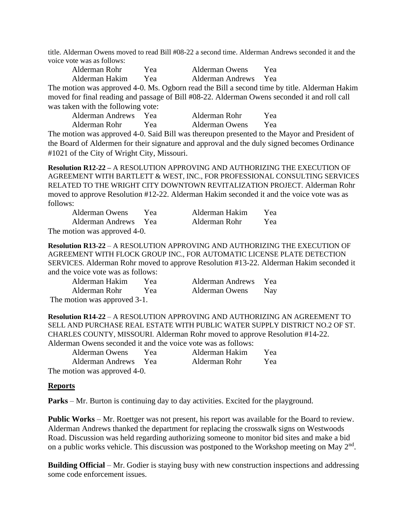title. Alderman Owens moved to read Bill #08-22 a second time. Alderman Andrews seconded it and the voice vote was as follows:

| Alderman Rohr  | Yea | Alderman Owens       | Yea |  |
|----------------|-----|----------------------|-----|--|
| Alderman Hakim | Yea | Alderman Andrews Yea |     |  |

The motion was approved 4-0. Ms. Ogborn read the Bill a second time by title. Alderman Hakim moved for final reading and passage of Bill #08-22. Alderman Owens seconded it and roll call was taken with the following vote:

| Alderman Andrews | Yea | Alderman Rohr         | Yea |
|------------------|-----|-----------------------|-----|
| Alderman Rohr    | Yea | <b>Alderman Owens</b> | Yea |

The motion was approved 4-0. Said Bill was thereupon presented to the Mayor and President of the Board of Aldermen for their signature and approval and the duly signed becomes Ordinance #1021 of the City of Wright City, Missouri.

**Resolution R12**-**22 –** A RESOLUTION APPROVING AND AUTHORIZING THE EXECUTION OF AGREEMENT WITH BARTLETT & WEST, INC., FOR PROFESSIONAL CONSULTING SERVICES RELATED TO THE WRIGHT CITY DOWNTOWN REVITALIZATION PROJECT. Alderman Rohr moved to approve Resolution #12-22. Alderman Hakim seconded it and the voice vote was as follows:

| <b>Alderman Owens</b>        | Yea | Alderman Hakim | Yea |  |  |
|------------------------------|-----|----------------|-----|--|--|
| Alderman Andrews Yea         |     | Alderman Rohr  | Yea |  |  |
| The motion was approved 4-0. |     |                |     |  |  |

**Resolution R13**-**22** – A RESOLUTION APPROVING AND AUTHORIZING THE EXECUTION OF AGREEMENT WITH FLOCK GROUP INC., FOR AUTOMATIC LICENSE PLATE DETECTION SERVICES. Alderman Rohr moved to approve Resolution #13-22. Alderman Hakim seconded it and the voice vote was as follows:

Alderman Hakim Yea Alderman Andrews Yea

Alderman Rohr Yea Alderman Owens Nay

The motion was approved 3-1.

**Resolution R14**-**22** – A RESOLUTION APPROVING AND AUTHORIZING AN AGREEMENT TO SELL AND PURCHASE REAL ESTATE WITH PUBLIC WATER SUPPLY DISTRICT NO.2 OF ST. CHARLES COUNTY, MISSOURI. Alderman Rohr moved to approve Resolution #14-22. Alderman Owens seconded it and the voice vote was as follows:

| <b>Alderman Owens</b>        | Yea | Alderman Hakim | Yea |
|------------------------------|-----|----------------|-----|
| Alderman Andrews Yea         |     | Alderman Rohr  | Yea |
| The motion was approved 4-0. |     |                |     |

#### **Reports**

**Parks** – Mr. Burton is continuing day to day activities. Excited for the playground.

**Public Works** – Mr. Roettger was not present, his report was available for the Board to review. Alderman Andrews thanked the department for replacing the crosswalk signs on Westwoods Road. Discussion was held regarding authorizing someone to monitor bid sites and make a bid on a public works vehicle. This discussion was postponed to the Workshop meeting on May  $2<sup>nd</sup>$ .

**Building Official** – Mr. Godier is staying busy with new construction inspections and addressing some code enforcement issues.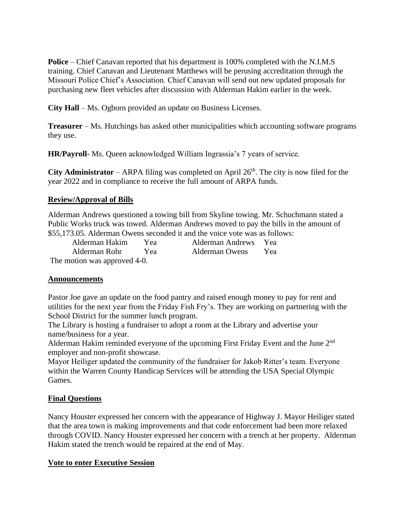**Police** – Chief Canavan reported that his department is 100% completed with the N.I.M.S training. Chief Canavan and Lieutenant Matthews will be perusing accreditation through the Missouri Police Chief's Association. Chief Canavan will send out new updated proposals for purchasing new fleet vehicles after discussion with Alderman Hakim earlier in the week.

**City Hall** – Ms. Ogborn provided an update on Business Licenses.

**Treasurer** – Ms. Hutchings has asked other municipalities which accounting software programs they use.

**HR/Payroll-** Ms. Queen acknowledged William Ingrassia's 7 years of service.

**City Administrator** – ARPA filing was completed on April  $26<sup>th</sup>$ . The city is now filed for the year 2022 and in compliance to receive the full amount of ARPA funds.

# **Review/Approval of Bills**

Alderman Andrews questioned a towing bill from Skyline towing. Mr. Schuchmann stated a Public Works truck was towed. Alderman Andrews moved to pay the bills in the amount of \$55,173.05. Alderman Owens seconded it and the voice vote was as follows:

Alderman Hakim Yea Alderman Andrews Yea Alderman Rohr Yea Alderman Owens Yea

The motion was approved 4-0.

## **Announcements**

Pastor Joe gave an update on the food pantry and raised enough money to pay for rent and utilities for the next year from the Friday Fish Fry's. They are working on partnering with the School District for the summer lunch program.

The Library is hosting a fundraiser to adopt a room at the Library and advertise your name/business for a year.

Alderman Hakim reminded everyone of the upcoming First Friday Event and the June 2<sup>nd</sup> employer and non-profit showcase.

Mayor Heiliger updated the community of the fundraiser for Jakob Ritter's team. Everyone within the Warren County Handicap Services will be attending the USA Special Olympic Games.

# **Final Questions**

Nancy Houster expressed her concern with the appearance of Highway J. Mayor Heiliger stated that the area town is making improvements and that code enforcement had been more relaxed through COVID. Nancy Houster expressed her concern with a trench at her property. Alderman Hakim stated the trench would be repaired at the end of May.

## **Vote to enter Executive Session**